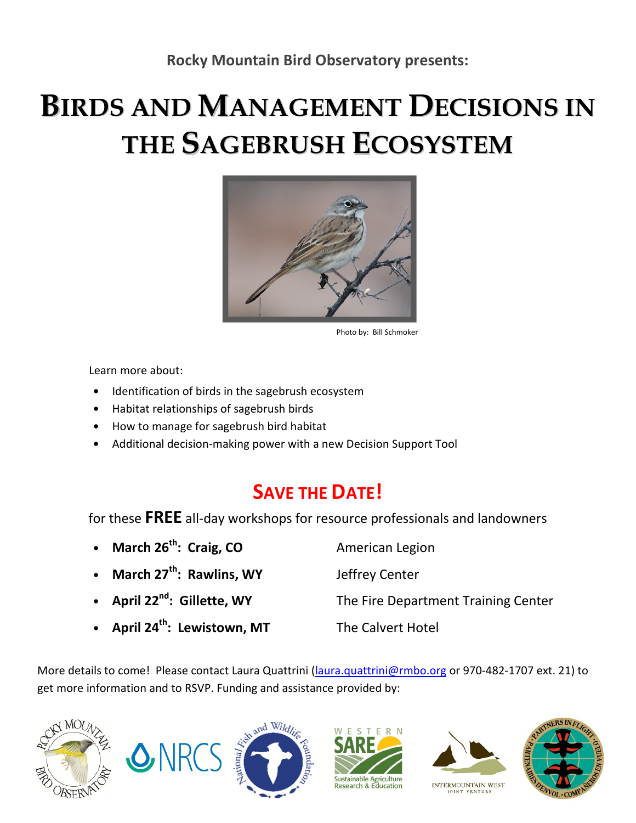## BIRDS AND MANAGEMENT DECISIONS IN THE SAGEBRUSH ECOSYSTEM



Photo by: Bill Schmoker

Learn more about:

- Identification of birds in the sagebrush ecosystem
- Habitat relationships of sagebrush birds
- How to manage for sagebrush bird habitat
- Additional decision-making power with a new Decision Support Tool

## SAVE THE DATE!

for these FREE all-day workshops for resource professionals and landowners

- March 26<sup>th</sup>: Craig, CO American Legion • March 27<sup>th</sup>: Rawlins, WY Jeffrey Center • April 22<sup>nd</sup>: Gillette, WY The Fire Department Training Center • April 24<sup>th</sup>: Lewistown, MT The Calvert Hotel
- 

More details to come! Please contact Laura Quattrini (laura.quattrini@rmbo.org or 970-482-1707 ext. 21) to get more information and to RSVP. Funding and assistance provided by:











INTERMOUNTAIN WEST